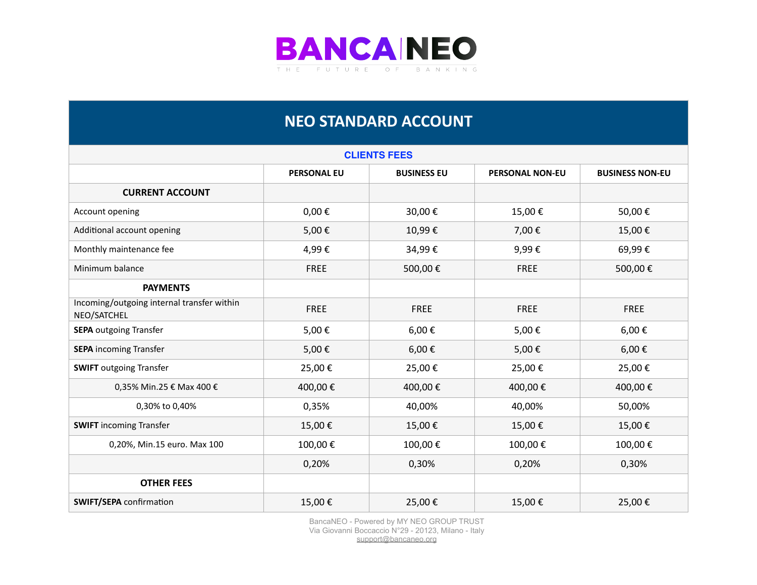

## **NEO STANDARD ACCOUNT**

| <b>CLIENTS FEES</b>                                       |                    |                    |                        |                        |
|-----------------------------------------------------------|--------------------|--------------------|------------------------|------------------------|
|                                                           | <b>PERSONAL EU</b> | <b>BUSINESS EU</b> | <b>PERSONAL NON-EU</b> | <b>BUSINESS NON-EU</b> |
| <b>CURRENT ACCOUNT</b>                                    |                    |                    |                        |                        |
| Account opening                                           | $0,00 \in$         | 30,00€             | 15,00€                 | 50,00€                 |
| Additional account opening                                | 5,00€              | 10,99€             | 7,00€                  | 15,00€                 |
| Monthly maintenance fee                                   | 4,99€              | 34,99€             | 9,99€                  | 69,99€                 |
| Minimum balance                                           | <b>FREE</b>        | 500,00€            | <b>FREE</b>            | 500,00€                |
| <b>PAYMENTS</b>                                           |                    |                    |                        |                        |
| Incoming/outgoing internal transfer within<br>NEO/SATCHEL | <b>FREE</b>        | <b>FREE</b>        | <b>FREE</b>            | <b>FREE</b>            |
| <b>SEPA outgoing Transfer</b>                             | 5,00€              | 6,00€              | 5,00€                  | 6,00€                  |
| <b>SEPA</b> incoming Transfer                             | 5,00€              | 6,00€              | 5,00€                  | 6,00€                  |
| <b>SWIFT</b> outgoing Transfer                            | 25,00€             | 25,00€             | 25,00€                 | 25,00€                 |
| 0,35% Min.25 € Max 400 €                                  | 400,00 €           | 400,00€            | 400,00€                | 400,00€                |
| 0,30% to 0,40%                                            | 0,35%              | 40,00%             | 40,00%                 | 50,00%                 |
| <b>SWIFT</b> incoming Transfer                            | 15,00€             | 15,00€             | 15,00€                 | 15,00€                 |
| 0,20%, Min.15 euro. Max 100                               | 100,00€            | 100,00€            | 100,00€                | 100,00€                |
|                                                           | 0,20%              | 0,30%              | 0,20%                  | 0,30%                  |
| <b>OTHER FEES</b>                                         |                    |                    |                        |                        |
| <b>SWIFT/SEPA</b> confirmation                            | 15,00€             | 25,00€             | 15,00€                 | 25,00€                 |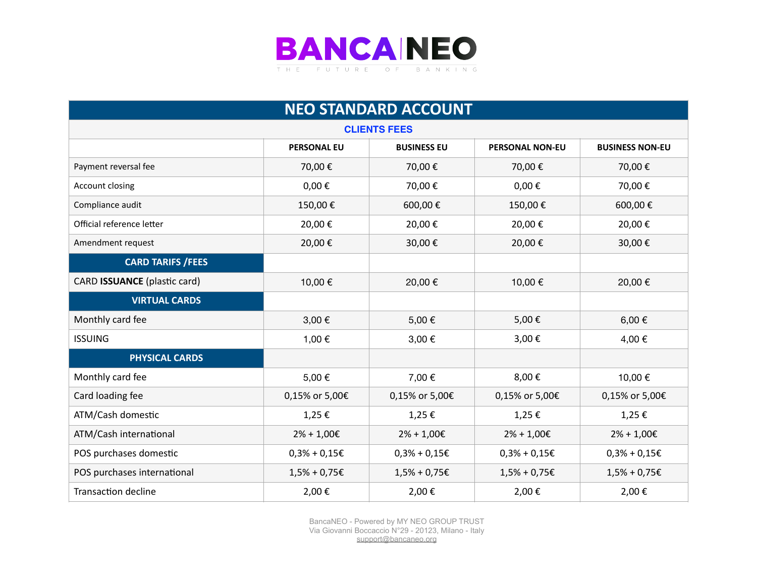

| <b>NEO STANDARD ACCOUNT</b>         |                    |                    |                        |                        |  |
|-------------------------------------|--------------------|--------------------|------------------------|------------------------|--|
| <b>CLIENTS FEES</b>                 |                    |                    |                        |                        |  |
|                                     | <b>PERSONAL EU</b> | <b>BUSINESS EU</b> | <b>PERSONAL NON-EU</b> | <b>BUSINESS NON-EU</b> |  |
| Payment reversal fee                | 70,00€             | 70,00€             | 70,00€                 | 70,00€                 |  |
| Account closing                     | $0,00 \in$         | 70,00€             | $0,00 \in$             | 70,00€                 |  |
| Compliance audit                    | 150,00€            | 600,00€            | 150,00€                | 600,00€                |  |
| Official reference letter           | 20,00€             | 20,00€             | 20,00€                 | 20,00€                 |  |
| Amendment request                   | 20,00€             | 30,00€             | 20,00€                 | 30,00€                 |  |
| <b>CARD TARIFS / FEES</b>           |                    |                    |                        |                        |  |
| <b>CARD ISSUANCE</b> (plastic card) | 10,00€             | 20,00€             | 10,00€                 | 20,00€                 |  |
| <b>VIRTUAL CARDS</b>                |                    |                    |                        |                        |  |
| Monthly card fee                    | 3,00€              | 5,00€              | 5,00€                  | 6,00 $\epsilon$        |  |
| <b>ISSUING</b>                      | 1,00 €             | 3,00€              | 3,00€                  | 4,00 €                 |  |
| <b>PHYSICAL CARDS</b>               |                    |                    |                        |                        |  |
| Monthly card fee                    | 5,00€              | 7,00 €             | 8,00€                  | 10,00 €                |  |
| Card loading fee                    | 0,15% or 5,00€     | 0,15% or 5,00€     | 0,15% or 5,00€         | 0,15% or 5,00€         |  |
| ATM/Cash domestic                   | 1,25€              | 1,25€              | 1,25€                  | 1,25€                  |  |
| ATM/Cash international              | $2\% + 1,00 \in$   | $2\% + 1,00 \in$   | $2\% + 1,00 \in$       | $2\% + 1,00 \in$       |  |
| POS purchases domestic              | $0,3% + 0,15€$     | $0,3% + 0,15€$     | $0,3% + 0,15€$         | $0,3% + 0,15€$         |  |
| POS purchases international         | $1,5%$ + 0,75€     | $1,5% + 0,75E$     | $1,5% + 0,75E$         | $1,5% + 0,75 \in$      |  |
| <b>Transaction decline</b>          | 2,00€              | 2,00€              | 2,00€                  | 2,00€                  |  |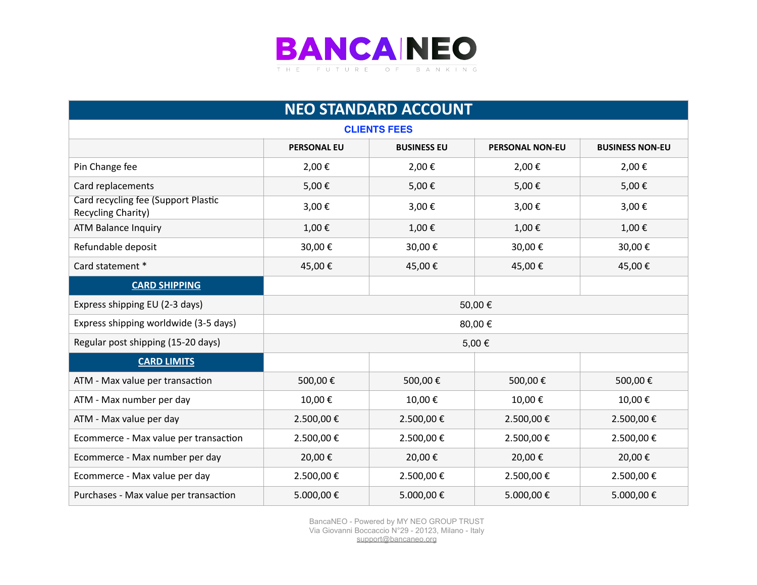

| <b>NEO STANDARD ACCOUNT</b>                               |                    |                    |                        |                        |
|-----------------------------------------------------------|--------------------|--------------------|------------------------|------------------------|
| <b>CLIENTS FEES</b>                                       |                    |                    |                        |                        |
|                                                           | <b>PERSONAL EU</b> | <b>BUSINESS EU</b> | <b>PERSONAL NON-EU</b> | <b>BUSINESS NON-EU</b> |
| Pin Change fee                                            | 2,00€              | 2,00€              | 2,00€                  | 2,00€                  |
| Card replacements                                         | 5,00€              | 5,00€              | 5,00€                  | 5,00€                  |
| Card recycling fee (Support Plastic<br>Recycling Charity) | 3,00€              | 3,00€              | 3,00€                  | 3,00€                  |
| <b>ATM Balance Inquiry</b>                                | 1,00€              | 1,00€              | 1,00€                  | 1,00€                  |
| Refundable deposit                                        | 30,00€             | 30,00€             | 30,00€                 | 30,00€                 |
| Card statement *                                          | 45,00€             | 45,00€             | 45,00€                 | 45,00€                 |
| <b>CARD SHIPPING</b>                                      |                    |                    |                        |                        |
| Express shipping EU (2-3 days)                            |                    |                    | 50,00€                 |                        |
| Express shipping worldwide (3-5 days)                     |                    |                    | 80,00€                 |                        |
| Regular post shipping (15-20 days)                        |                    |                    | 5,00€                  |                        |
| <b>CARD LIMITS</b>                                        |                    |                    |                        |                        |
| ATM - Max value per transaction                           | 500,00€            | 500,00€            | 500,00€                | 500,00€                |
| ATM - Max number per day                                  | 10,00€             | 10,00€             | 10,00€                 | 10,00€                 |
| ATM - Max value per day                                   | 2.500,00€          | 2.500,00€          | 2.500,00€              | 2.500,00€              |
| Ecommerce - Max value per transaction                     | 2.500,00€          | 2.500,00€          | 2.500,00€              | 2.500,00€              |
| Ecommerce - Max number per day                            | 20,00€             | 20,00€             | 20,00€                 | 20,00€                 |
| Ecommerce - Max value per day                             | 2.500,00€          | 2.500,00€          | 2.500,00€              | 2.500,00€              |
| Purchases - Max value per transaction                     | 5.000,00€          | 5.000,00€          | 5.000,00€              | 5.000,00€              |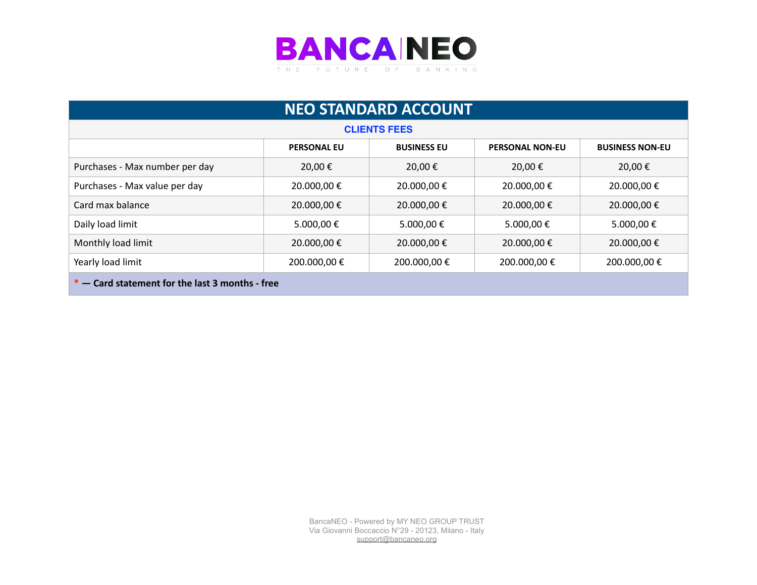

| <b>NEO STANDARD ACCOUNT</b>                                                                  |             |                     |              |             |  |
|----------------------------------------------------------------------------------------------|-------------|---------------------|--------------|-------------|--|
|                                                                                              |             | <b>CLIENTS FEES</b> |              |             |  |
| <b>PERSONAL EU</b><br><b>BUSINESS EU</b><br><b>PERSONAL NON-EU</b><br><b>BUSINESS NON-EU</b> |             |                     |              |             |  |
| Purchases - Max number per day                                                               | 20,00 €     | 20,00€              | 20,00€       | 20,00€      |  |
| Purchases - Max value per day                                                                | 20.000,00 € | 20.000,00€          | 20.000,00 €  | 20.000,00 € |  |
| Card max balance                                                                             | 20.000,00€  | 20.000,00€          | 20.000,00€   | 20.000,00€  |  |
| Daily load limit                                                                             | 5.000,00 €  | 5.000,00 €          | 5.000,00 €   | 5.000,00 €  |  |
| Monthly load limit                                                                           | 20.000,00 € | 20.000,00 €         | 20.000,00 €  | 20.000,00 € |  |
| Yearly load limit                                                                            | 200.000,00€ | 200.000,00 €        | 200.000,00 € | 200.000,00€ |  |
| $*$ – Card statement for the last 3 months - free                                            |             |                     |              |             |  |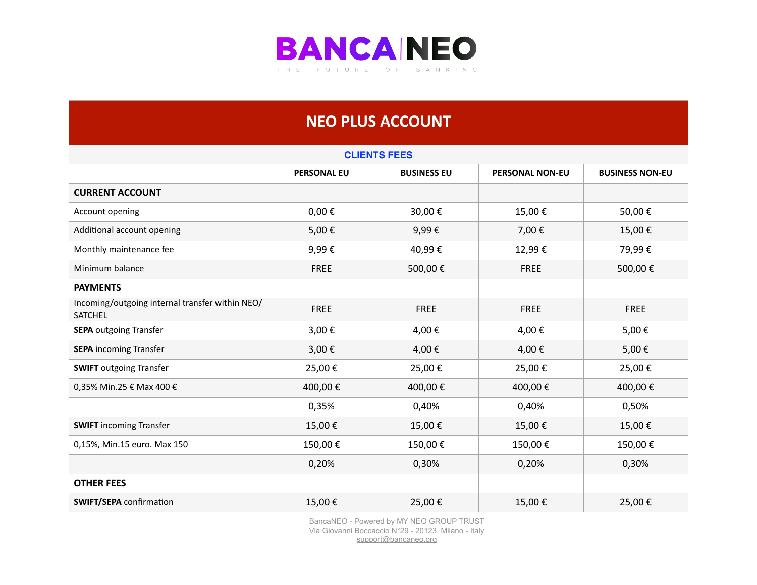

## **NEO PLUS ACCOUNT**

| <b>CLIENTS FEES</b>                                        |                    |                    |                        |                        |  |
|------------------------------------------------------------|--------------------|--------------------|------------------------|------------------------|--|
|                                                            | <b>PERSONAL EU</b> | <b>BUSINESS EU</b> | <b>PERSONAL NON-EU</b> | <b>BUSINESS NON-EU</b> |  |
| <b>CURRENT ACCOUNT</b>                                     |                    |                    |                        |                        |  |
| Account opening                                            | $0,00 \in$         | 30,00€             | 15,00€                 | 50,00€                 |  |
| Additional account opening                                 | 5,00€              | 9,99€              | 7,00€                  | 15,00€                 |  |
| Monthly maintenance fee                                    | 9,99€              | 40,99€             | 12,99€                 | 79,99€                 |  |
| Minimum balance                                            | FREE               | 500,00€            | <b>FREE</b>            | 500,00€                |  |
| <b>PAYMENTS</b>                                            |                    |                    |                        |                        |  |
| Incoming/outgoing internal transfer within NEO/<br>SATCHEL | FREE               | <b>FREE</b>        | <b>FREE</b>            | <b>FREE</b>            |  |
| <b>SEPA outgoing Transfer</b>                              | 3,00€              | 4,00€              | 4,00€                  | 5,00€                  |  |
| <b>SEPA</b> incoming Transfer                              | 3,00€              | 4,00€              | 4,00€                  | 5,00€                  |  |
| <b>SWIFT</b> outgoing Transfer                             | 25,00€             | 25,00€             | 25,00€                 | 25,00€                 |  |
| 0,35% Min.25 € Max 400 €                                   | 400,00€            | 400,00€            | 400,00€                | 400,00€                |  |
|                                                            | 0,35%              | 0,40%              | 0,40%                  | 0,50%                  |  |
| <b>SWIFT</b> incoming Transfer                             | 15,00€             | 15,00€             | 15,00€                 | 15,00€                 |  |
| 0,15%, Min.15 euro. Max 150                                | 150,00€            | 150,00€            | 150,00€                | 150,00€                |  |
|                                                            | 0,20%              | 0,30%              | 0,20%                  | 0,30%                  |  |
| <b>OTHER FEES</b>                                          |                    |                    |                        |                        |  |
| <b>SWIFT/SEPA</b> confirmation                             | 15,00€             | 25,00€             | 15,00€                 | 25,00€                 |  |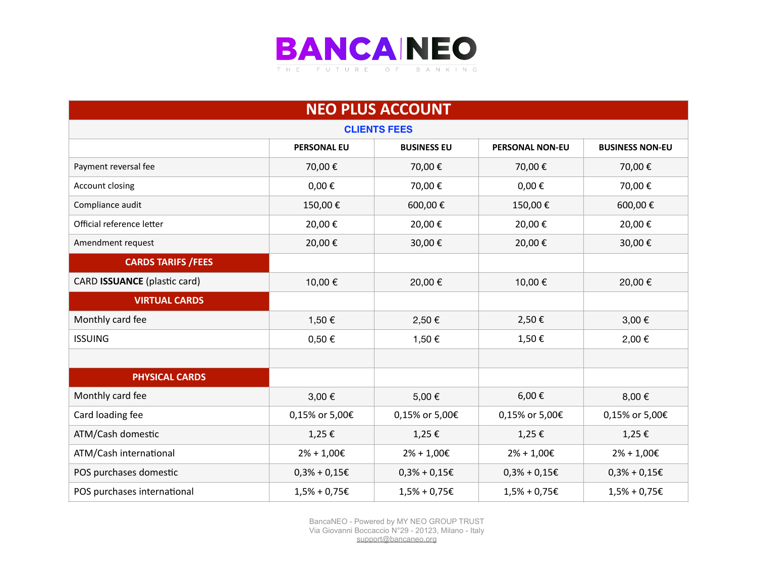

| <b>NEO PLUS ACCOUNT</b>      |                    |                    |                        |                        |  |
|------------------------------|--------------------|--------------------|------------------------|------------------------|--|
| <b>CLIENTS FEES</b>          |                    |                    |                        |                        |  |
|                              | <b>PERSONAL EU</b> | <b>BUSINESS EU</b> | <b>PERSONAL NON-EU</b> | <b>BUSINESS NON-EU</b> |  |
| Payment reversal fee         | 70,00€             | 70,00€             | 70,00€                 | 70,00€                 |  |
| Account closing              | $0,00 \in$         | 70,00€             | $0,00 \in$             | 70,00€                 |  |
| Compliance audit             | 150,00€            | 600,00€            | 150,00€                | 600,00€                |  |
| Official reference letter    | 20,00€             | 20,00€             | 20,00€                 | 20,00€                 |  |
| Amendment request            | 20,00€             | 30,00€             | 20,00€                 | 30,00€                 |  |
| <b>CARDS TARIFS /FEES</b>    |                    |                    |                        |                        |  |
| CARD ISSUANCE (plastic card) | 10,00 €            | 20,00€             | 10,00€                 | 20,00€                 |  |
| <b>VIRTUAL CARDS</b>         |                    |                    |                        |                        |  |
| Monthly card fee             | 1,50 €             | 2,50€              | 2,50€                  | 3,00€                  |  |
| <b>ISSUING</b>               | $0,50 \in$         | 1,50 €             | 1,50€                  | 2,00 €                 |  |
|                              |                    |                    |                        |                        |  |
| <b>PHYSICAL CARDS</b>        |                    |                    |                        |                        |  |
| Monthly card fee             | 3,00 €             | 5,00€              | 6,00€                  | 8,00€                  |  |
| Card loading fee             | 0,15% or 5,00€     | 0,15% or 5,00€     | 0,15% or 5,00€         | 0,15% or 5,00€         |  |
| ATM/Cash domestic            | 1,25€              | 1,25€              | 1,25€                  | $1,25 \in$             |  |
| ATM/Cash international       | $2\% + 1,00 \in$   | $2% + 1,00E$       | $2% + 1,00E$           | $2\% + 1,00 \in$       |  |
| POS purchases domestic       | $0,3% + 0,15E$     | $0,3% + 0,15E$     | $0,3% + 0,15E$         | $0,3% + 0,15E$         |  |
| POS purchases international  | $1,5% + 0,75 \in$  | $1,5% + 0,75E$     | $1,5% + 0,75E$         | $1,5%$ + 0,75€         |  |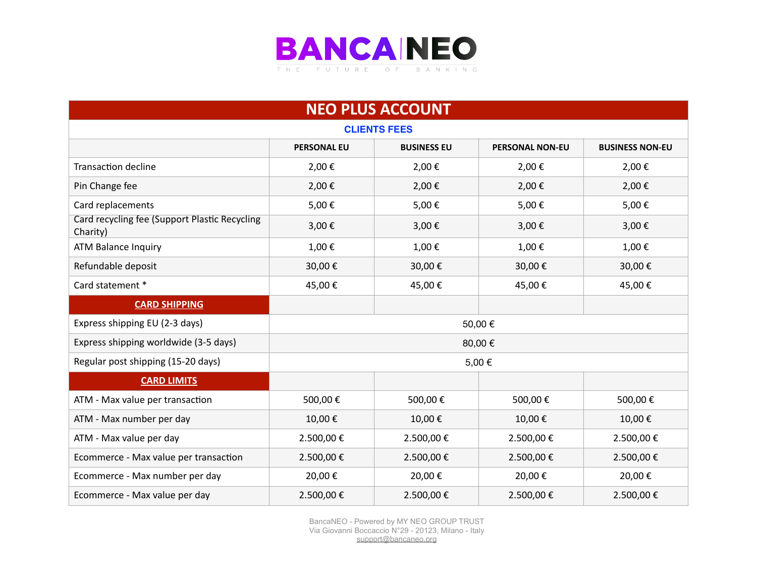

| <b>NEO PLUS ACCOUNT</b>                                   |                    |                    |                        |                        |  |
|-----------------------------------------------------------|--------------------|--------------------|------------------------|------------------------|--|
| <b>CLIENTS FEES</b>                                       |                    |                    |                        |                        |  |
|                                                           | <b>PERSONAL EU</b> | <b>BUSINESS EU</b> | <b>PERSONAL NON-EU</b> | <b>BUSINESS NON-EU</b> |  |
| <b>Transaction decline</b>                                | 2,00€              | 2,00€              | 2,00€                  | 2,00€                  |  |
| Pin Change fee                                            | 2,00€              | 2,00€              | 2,00€                  | 2,00€                  |  |
| Card replacements                                         | 5,00€              | 5,00€              | 5,00€                  | 5,00€                  |  |
| Card recycling fee (Support Plastic Recycling<br>Charity) | 3,00€              | 3,00€              | 3,00€                  | 3,00€                  |  |
| <b>ATM Balance Inquiry</b>                                | 1,00€              | 1,00€              | 1,00€                  | 1,00€                  |  |
| Refundable deposit                                        | 30,00€             | 30,00€             | 30,00€                 | 30,00€                 |  |
| Card statement *                                          | 45,00€             | 45,00€             | 45,00€                 | 45,00€                 |  |
| <b>CARD SHIPPING</b>                                      |                    |                    |                        |                        |  |
| Express shipping EU (2-3 days)                            |                    |                    | 50,00€                 |                        |  |
| Express shipping worldwide (3-5 days)                     |                    |                    | 80,00€                 |                        |  |
| Regular post shipping (15-20 days)                        |                    |                    | 5,00€                  |                        |  |
| <b>CARD LIMITS</b>                                        |                    |                    |                        |                        |  |
| ATM - Max value per transaction                           | 500,00€            | 500,00€            | 500,00€                | 500,00€                |  |
| ATM - Max number per day                                  | 10,00€             | 10,00€             | 10,00€                 | 10,00€                 |  |
| ATM - Max value per day                                   | 2.500,00€          | 2.500,00€          | 2.500,00€              | 2.500,00€              |  |
| Ecommerce - Max value per transaction                     | 2.500,00€          | 2.500,00€          | 2.500,00€              | 2.500,00€              |  |
| Ecommerce - Max number per day                            | 20,00€             | 20,00€             | 20,00€                 | 20,00€                 |  |
| Ecommerce - Max value per day                             | 2.500,00€          | 2.500,00€          | 2.500,00€              | 2.500,00€              |  |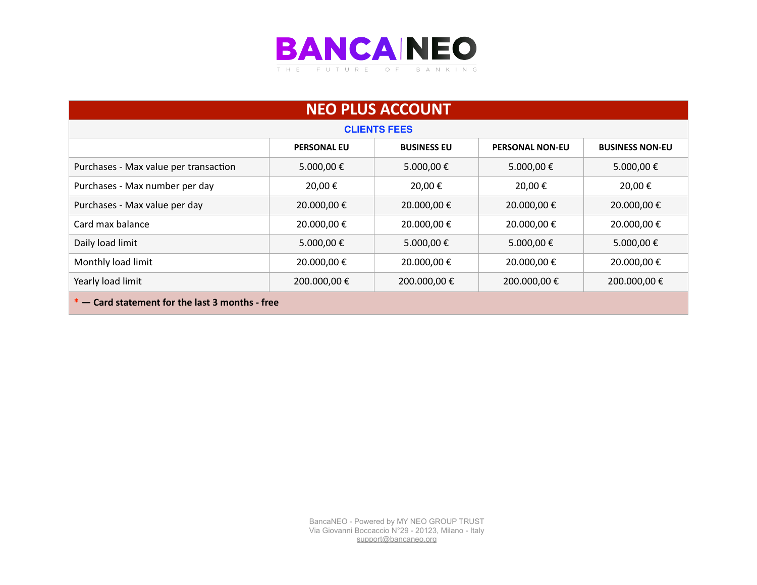

| <b>NEO PLUS ACCOUNT</b>                           |                    |                    |                        |                        |  |
|---------------------------------------------------|--------------------|--------------------|------------------------|------------------------|--|
| <b>CLIENTS FEES</b>                               |                    |                    |                        |                        |  |
|                                                   | <b>PERSONAL EU</b> | <b>BUSINESS EU</b> | <b>PERSONAL NON-EU</b> | <b>BUSINESS NON-EU</b> |  |
| Purchases - Max value per transaction             | 5.000,00€          | 5.000,00€          | 5.000,00€              | 5.000,00€              |  |
| Purchases - Max number per day                    | 20,00€             | 20.00€             | 20,00 €                | 20,00€                 |  |
| Purchases - Max value per day                     | 20.000,00€         | 20.000,00€         | 20.000,00 €            | 20.000,00€             |  |
| Card max balance                                  | 20.000,00€         | 20.000,00€         | 20.000,00 €            | 20.000,00 €            |  |
| Daily load limit                                  | 5.000,00€          | 5.000,00€          | 5.000,00€              | 5.000,00€              |  |
| Monthly load limit                                | 20.000,00€         | 20.000,00 €        | 20.000,00€             | 20.000,00 €            |  |
| Yearly load limit                                 | 200.000,00€        | 200.000,00 €       | 200.000,00 €           | 200.000,00€            |  |
| $*$ – Card statement for the last 3 months - free |                    |                    |                        |                        |  |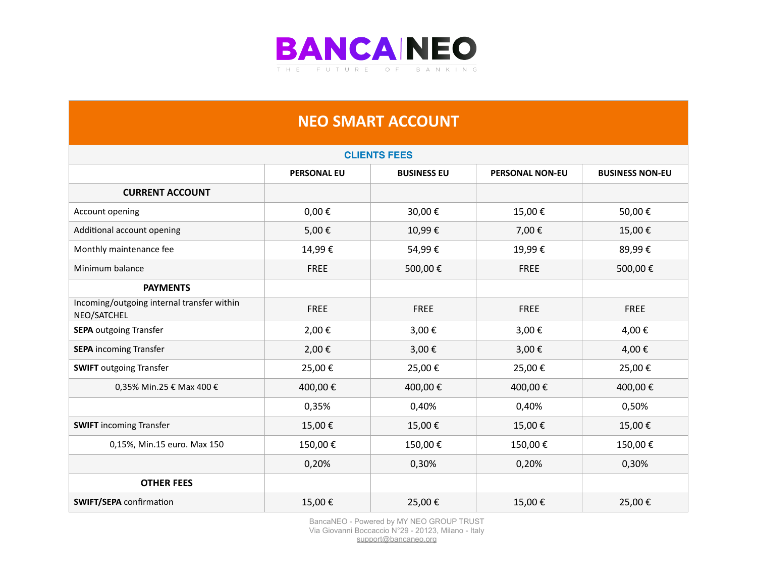

## **NEO SMART ACCOUNT**

| <b>CLIENTS FEES</b>                                       |                    |                    |                        |                        |
|-----------------------------------------------------------|--------------------|--------------------|------------------------|------------------------|
|                                                           | <b>PERSONAL EU</b> | <b>BUSINESS EU</b> | <b>PERSONAL NON-EU</b> | <b>BUSINESS NON-EU</b> |
| <b>CURRENT ACCOUNT</b>                                    |                    |                    |                        |                        |
| Account opening                                           | $0,00 \in$         | 30,00€             | 15,00€                 | 50,00€                 |
| Additional account opening                                | 5,00€              | 10,99€             | 7,00€                  | 15,00€                 |
| Monthly maintenance fee                                   | 14,99€             | 54,99€             | 19,99€                 | 89,99€                 |
| Minimum balance                                           | <b>FREE</b>        | 500,00€            | <b>FREE</b>            | 500,00€                |
| <b>PAYMENTS</b>                                           |                    |                    |                        |                        |
| Incoming/outgoing internal transfer within<br>NEO/SATCHEL | <b>FREE</b>        | <b>FREE</b>        | <b>FREE</b>            | <b>FREE</b>            |
| <b>SEPA outgoing Transfer</b>                             | 2,00€              | 3,00€              | 3,00€                  | 4,00€                  |
| <b>SEPA</b> incoming Transfer                             | 2,00€              | 3,00€              | 3,00€                  | 4,00€                  |
| <b>SWIFT</b> outgoing Transfer                            | 25,00€             | 25,00€             | 25,00€                 | 25,00€                 |
| 0,35% Min.25 € Max 400 €                                  | 400,00€            | 400,00€            | 400,00€                | 400,00€                |
|                                                           | 0,35%              | 0,40%              | 0,40%                  | 0,50%                  |
| <b>SWIFT</b> incoming Transfer                            | 15,00€             | 15,00€             | 15,00€                 | 15,00€                 |
| 0,15%, Min.15 euro. Max 150                               | 150,00€            | 150,00€            | 150,00€                | 150,00€                |
|                                                           | 0,20%              | 0,30%              | 0,20%                  | 0,30%                  |
| <b>OTHER FEES</b>                                         |                    |                    |                        |                        |
| <b>SWIFT/SEPA</b> confirmation                            | 15,00€             | 25,00€             | 15,00€                 | 25,00€                 |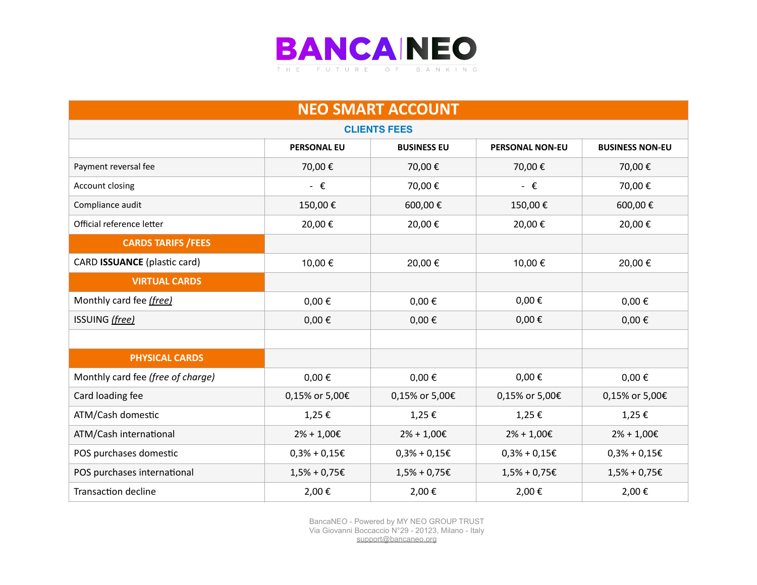

| <b>NEO SMART ACCOUNT</b>          |                    |                    |                        |                        |  |
|-----------------------------------|--------------------|--------------------|------------------------|------------------------|--|
| <b>CLIENTS FEES</b>               |                    |                    |                        |                        |  |
|                                   | <b>PERSONAL EU</b> | <b>BUSINESS EU</b> | <b>PERSONAL NON-EU</b> | <b>BUSINESS NON-EU</b> |  |
| Payment reversal fee              | 70,00€             | 70,00€             | 70,00€                 | 70,00€                 |  |
| Account closing                   | $ \epsilon$        | 70,00€             | $ \epsilon$            | 70,00€                 |  |
| Compliance audit                  | 150,00€            | 600,00€            | 150,00€                | 600,00€                |  |
| Official reference letter         | 20,00€             | 20,00€             | 20,00€                 | 20,00€                 |  |
| <b>CARDS TARIFS / FEES</b>        |                    |                    |                        |                        |  |
| CARD ISSUANCE (plastic card)      | 10,00 €            | 20,00€             | 10,00 €                | 20,00€                 |  |
| <b>VIRTUAL CARDS</b>              |                    |                    |                        |                        |  |
| Monthly card fee (free)           | $0,00 \in$         | $0,00 \in$         | $0,00 \in$             | $0,00 \in$             |  |
| ISSUING (free)                    | $0,00 \in$         | $0,00 \in$         | $0,00 \in$             | $0,00 \in$             |  |
|                                   |                    |                    |                        |                        |  |
| <b>PHYSICAL CARDS</b>             |                    |                    |                        |                        |  |
| Monthly card fee (free of charge) | $0,00 \in$         | $0,00 \in$         | $0,00 \in$             | $0,00 \in$             |  |
| Card loading fee                  | 0,15% or 5,00€     | 0,15% or 5,00€     | 0,15% or 5,00€         | 0,15% or 5,00€         |  |
| ATM/Cash domestic                 | 1,25€              | 1,25€              | 1,25€                  | 1,25€                  |  |
| ATM/Cash international            | $2\% + 1,00 \in$   | $2% + 1,00E$       | $2% + 1,00E$           | $2% + 1,00E$           |  |
| POS purchases domestic            | $0,3% + 0,15E$     | $0,3% + 0,15€$     | $0,3% + 0,15€$         | $0,3% + 0,15€$         |  |
| POS purchases international       | $1,5%$ + 0,75€     | $1,5%$ + 0,75€     | $1,5%$ + 0,75€         | $1,5% + 0,75E$         |  |
| <b>Transaction decline</b>        | 2,00€              | 2,00€              | 2,00€                  | 2,00€                  |  |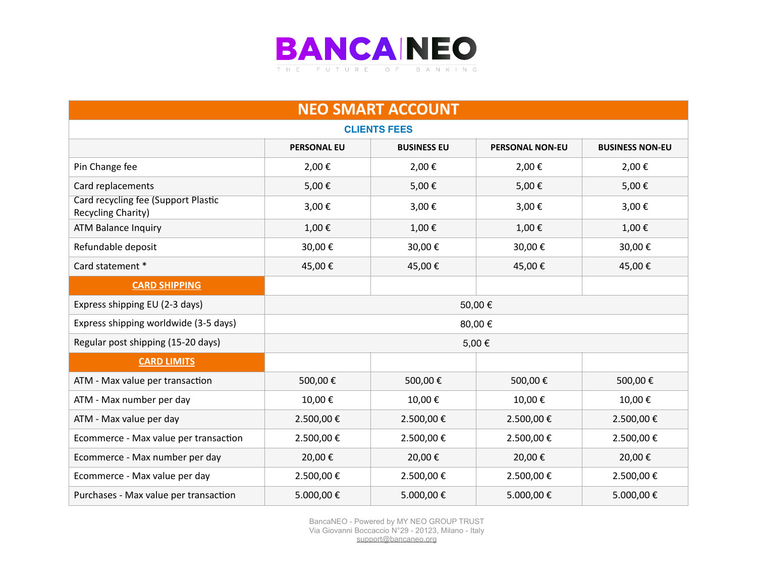

| <b>NEO SMART ACCOUNT</b>                                  |                    |                    |                        |                        |
|-----------------------------------------------------------|--------------------|--------------------|------------------------|------------------------|
| <b>CLIENTS FEES</b>                                       |                    |                    |                        |                        |
|                                                           | <b>PERSONAL EU</b> | <b>BUSINESS EU</b> | <b>PERSONAL NON-EU</b> | <b>BUSINESS NON-EU</b> |
| Pin Change fee                                            | 2,00€              | 2,00€              | 2,00€                  | 2,00€                  |
| Card replacements                                         | 5,00€              | 5,00€              | 5,00€                  | 5,00€                  |
| Card recycling fee (Support Plastic<br>Recycling Charity) | 3,00€              | 3,00€              | 3,00€                  | 3,00€                  |
| <b>ATM Balance Inquiry</b>                                | 1,00€              | 1,00€              | 1,00€                  | 1,00€                  |
| Refundable deposit                                        | 30,00€             | 30,00€             | 30,00€                 | 30,00€                 |
| Card statement *                                          | 45,00€             | 45,00€             | 45,00€                 | 45,00€                 |
| <b>CARD SHIPPING</b>                                      |                    |                    |                        |                        |
| Express shipping EU (2-3 days)                            |                    |                    | 50,00€                 |                        |
| Express shipping worldwide (3-5 days)                     |                    |                    | 80,00€                 |                        |
| Regular post shipping (15-20 days)                        |                    |                    | 5,00€                  |                        |
| <b>CARD LIMITS</b>                                        |                    |                    |                        |                        |
| ATM - Max value per transaction                           | 500,00€            | 500,00€            | 500,00€                | 500,00€                |
| ATM - Max number per day                                  | 10,00€             | 10,00€             | 10,00€                 | 10,00€                 |
| ATM - Max value per day                                   | 2.500,00€          | 2.500,00€          | 2.500,00 €             | 2.500,00€              |
| Ecommerce - Max value per transaction                     | 2.500,00€          | 2.500,00€          | 2.500,00€              | 2.500,00€              |
| Ecommerce - Max number per day                            | 20,00€             | 20,00€             | 20,00€                 | 20,00€                 |
| Ecommerce - Max value per day                             | 2.500,00€          | 2.500,00€          | 2.500,00€              | 2.500,00€              |
| Purchases - Max value per transaction                     | 5.000,00€          | 5.000,00€          | 5.000,00€              | 5.000,00€              |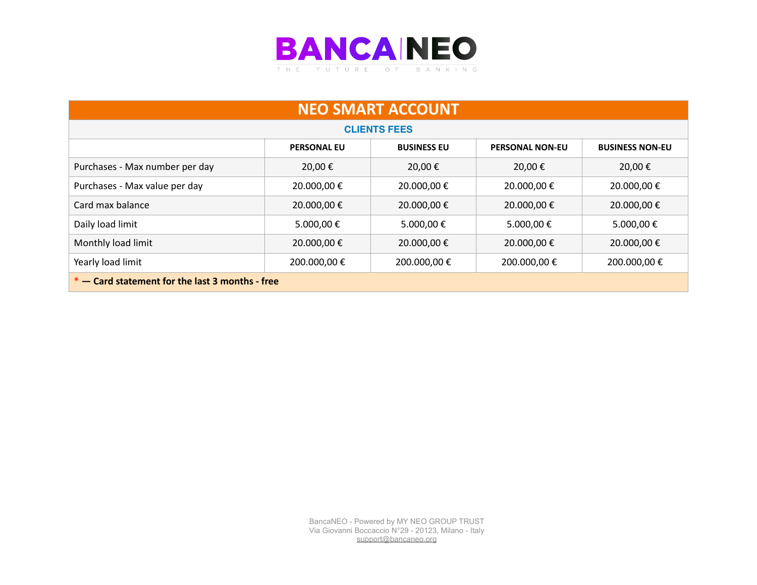

| <b>NEO SMART ACCOUNT</b>                                                                     |             |                     |              |             |  |
|----------------------------------------------------------------------------------------------|-------------|---------------------|--------------|-------------|--|
|                                                                                              |             | <b>CLIENTS FEES</b> |              |             |  |
| <b>PERSONAL EU</b><br><b>BUSINESS EU</b><br><b>PERSONAL NON-EU</b><br><b>BUSINESS NON-EU</b> |             |                     |              |             |  |
| Purchases - Max number per day                                                               | 20,00 €     | 20,00€              | 20,00€       | 20,00€      |  |
| Purchases - Max value per day                                                                | 20.000,00 € | 20.000,00 €         | 20.000,00 €  | 20.000,00 € |  |
| Card max balance                                                                             | 20.000,00 € | 20.000,00 €         | 20.000,00 €  | 20.000,00 € |  |
| Daily load limit                                                                             | 5.000,00€   | 5.000,00 €          | 5.000,00 €   | 5.000,00€   |  |
| Monthly load limit                                                                           | 20.000,00 € | 20.000,00 €         | 20.000,00 €  | 20.000,00 € |  |
| Yearly load limit                                                                            | 200.000,00€ | 200.000,00€         | 200.000,00 € | 200.000,00€ |  |
| * - Card statement for the last 3 months - free                                              |             |                     |              |             |  |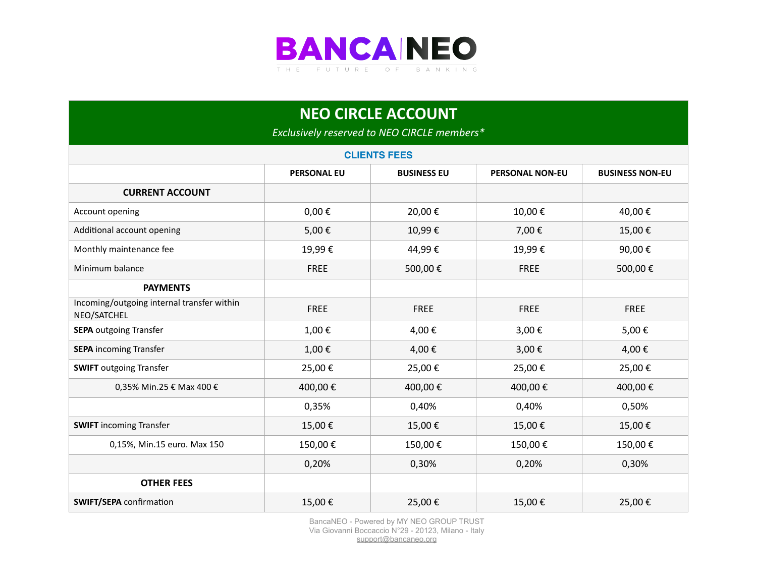

| <b>NEO CIRCLE ACCOUNT</b><br>Exclusively reserved to NEO CIRCLE members* |                    |                    |                        |                        |  |  |
|--------------------------------------------------------------------------|--------------------|--------------------|------------------------|------------------------|--|--|
| <b>CLIENTS FEES</b>                                                      |                    |                    |                        |                        |  |  |
|                                                                          | <b>PERSONAL EU</b> | <b>BUSINESS EU</b> | <b>PERSONAL NON-EU</b> | <b>BUSINESS NON-EU</b> |  |  |
| <b>CURRENT ACCOUNT</b>                                                   |                    |                    |                        |                        |  |  |
| Account opening                                                          | $0,00 \in$         | 20,00€             | 10,00€                 | 40,00€                 |  |  |
| Additional account opening                                               | 5,00€              | 10,99€             | 7,00€                  | 15,00€                 |  |  |
| Monthly maintenance fee                                                  | 19,99€             | 44,99€             | 19,99€                 | 90,00€                 |  |  |
| Minimum balance                                                          | <b>FREE</b>        | 500,00€            | <b>FREE</b>            | 500,00€                |  |  |
| <b>PAYMENTS</b>                                                          |                    |                    |                        |                        |  |  |
| Incoming/outgoing internal transfer within<br>NEO/SATCHEL                | <b>FREE</b>        | <b>FREE</b>        | <b>FREE</b>            | <b>FREE</b>            |  |  |
| <b>SEPA</b> outgoing Transfer                                            | 1,00€              | 4,00€              | 3,00€                  | 5,00€                  |  |  |
| <b>SEPA incoming Transfer</b>                                            | 1,00€              | 4,00€              | 3,00€                  | 4,00€                  |  |  |
| <b>SWIFT</b> outgoing Transfer                                           | 25,00€             | 25,00€             | 25,00€                 | 25,00€                 |  |  |
| 0,35% Min.25 € Max 400 €                                                 | 400,00€            | 400,00€            | 400,00€                | 400,00€                |  |  |
|                                                                          | 0,35%              | 0,40%              | 0,40%                  | 0,50%                  |  |  |
| <b>SWIFT</b> incoming Transfer                                           | 15,00€             | 15,00€             | 15,00€                 | 15,00€                 |  |  |
| 0,15%, Min.15 euro. Max 150                                              | 150,00€            | 150,00€            | 150,00€                | 150,00€                |  |  |
|                                                                          | 0,20%              | 0,30%              | 0,20%                  | 0,30%                  |  |  |
| <b>OTHER FEES</b>                                                        |                    |                    |                        |                        |  |  |
| <b>SWIFT/SEPA</b> confirmation                                           | 15,00€             | 25,00€             | 15,00€                 | 25,00€                 |  |  |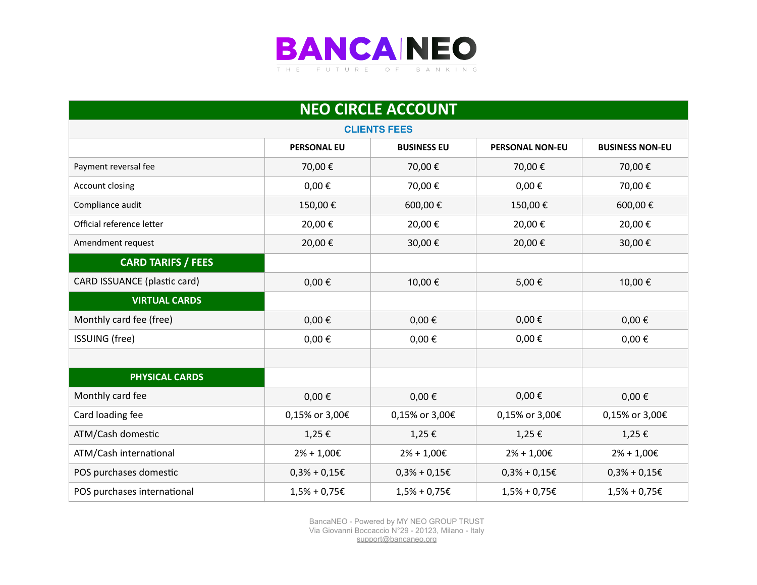

| <b>NEO CIRCLE ACCOUNT</b>    |                    |                    |                        |                        |  |
|------------------------------|--------------------|--------------------|------------------------|------------------------|--|
| <b>CLIENTS FEES</b>          |                    |                    |                        |                        |  |
|                              | <b>PERSONAL EU</b> | <b>BUSINESS EU</b> | <b>PERSONAL NON-EU</b> | <b>BUSINESS NON-EU</b> |  |
| Payment reversal fee         | 70,00€             | 70,00€             | 70,00€                 | 70,00€                 |  |
| Account closing              | $0,00 \in$         | 70,00€             | $0,00 \in$             | 70,00€                 |  |
| Compliance audit             | 150,00€            | 600,00€            | 150,00€                | 600,00€                |  |
| Official reference letter    | 20,00€             | 20,00€             | 20,00€                 | 20,00€                 |  |
| Amendment request            | 20,00€             | 30,00€             | 20,00€                 | 30,00€                 |  |
| <b>CARD TARIFS / FEES</b>    |                    |                    |                        |                        |  |
| CARD ISSUANCE (plastic card) | $0,00 \in$         | 10,00€             | 5,00€                  | 10,00€                 |  |
| <b>VIRTUAL CARDS</b>         |                    |                    |                        |                        |  |
| Monthly card fee (free)      | $0,00 \in$         | $0,00 \in$         | $0,00 \in$             | $0,00 \in$             |  |
| <b>ISSUING</b> (free)        | $0,00 \in$         | $0,00 \in$         | $0,00 \in$             | $0,00 \in$             |  |
|                              |                    |                    |                        |                        |  |
| <b>PHYSICAL CARDS</b>        |                    |                    |                        |                        |  |
| Monthly card fee             | $0,00 \in$         | $0,00 \in$         | $0,00 \in$             | $0,00 \in$             |  |
| Card loading fee             | 0,15% or 3,00€     | 0,15% or 3,00€     | 0,15% or 3,00€         | 0,15% or 3,00€         |  |
| ATM/Cash domestic            | 1,25€              | 1,25€              | 1,25€                  | 1,25€                  |  |
| ATM/Cash international       | $2\% + 1,00 \in$   | $2\% + 1,00 \in$   | $2% + 1,00E$           | $2\% + 1,00 \in$       |  |
| POS purchases domestic       | $0,3% + 0,15 \in$  | $0,3% + 0,15€$     | $0,3% + 0,15E$         | $0,3% + 0,15E$         |  |
| POS purchases international  | $1,5% + 0,75E$     | $1,5%$ + 0,75€     | $1,5%$ + 0,75€         | $1,5% + 0,75E$         |  |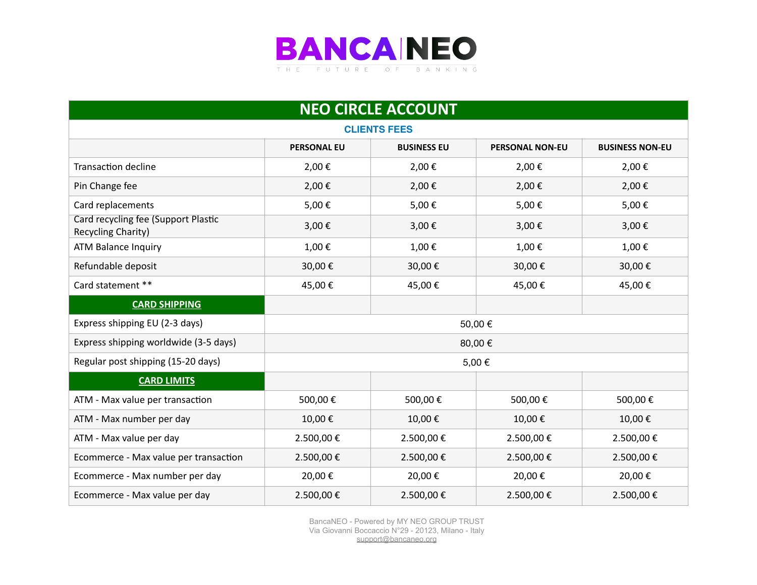

| <b>NEO CIRCLE ACCOUNT</b>                                 |                    |                    |                        |                        |  |
|-----------------------------------------------------------|--------------------|--------------------|------------------------|------------------------|--|
| <b>CLIENTS FEES</b>                                       |                    |                    |                        |                        |  |
|                                                           | <b>PERSONAL EU</b> | <b>BUSINESS EU</b> | <b>PERSONAL NON-EU</b> | <b>BUSINESS NON-EU</b> |  |
| <b>Transaction decline</b>                                | 2,00€              | 2,00€              | 2,00€                  | 2,00€                  |  |
| Pin Change fee                                            | 2,00€              | 2,00€              | 2,00€                  | 2,00€                  |  |
| Card replacements                                         | 5,00€              | 5,00€              | 5,00€                  | 5,00€                  |  |
| Card recycling fee (Support Plastic<br>Recycling Charity) | 3,00€              | 3,00€              | 3,00€                  | 3,00€                  |  |
| <b>ATM Balance Inquiry</b>                                | 1,00€              | 1,00€              | 1,00€                  | 1,00€                  |  |
| Refundable deposit                                        | 30,00€             | 30,00€             | 30,00€                 | 30,00€                 |  |
| Card statement **                                         | 45,00€             | 45,00€             | 45,00€                 | 45,00€                 |  |
| <b>CARD SHIPPING</b>                                      |                    |                    |                        |                        |  |
| Express shipping EU (2-3 days)                            | 50,00€             |                    |                        |                        |  |
| Express shipping worldwide (3-5 days)                     | 80,00€             |                    |                        |                        |  |
| Regular post shipping (15-20 days)                        | 5,00€              |                    |                        |                        |  |
| <b>CARD LIMITS</b>                                        |                    |                    |                        |                        |  |
| ATM - Max value per transaction                           | 500,00€            | 500,00€            | 500,00€                | 500,00€                |  |
| ATM - Max number per day                                  | 10,00€             | 10,00€             | 10,00€                 | 10,00€                 |  |
| ATM - Max value per day                                   | 2.500,00€          | 2.500,00€          | 2.500,00€              | 2.500,00€              |  |
| Ecommerce - Max value per transaction                     | 2.500,00€          | 2.500,00€          | 2.500,00€              | 2.500,00€              |  |
| Ecommerce - Max number per day                            | 20,00€             | 20,00€             | 20,00€                 | 20,00€                 |  |
| Ecommerce - Max value per day                             | 2.500,00€          | 2.500,00€          | 2.500,00€              | 2.500,00€              |  |